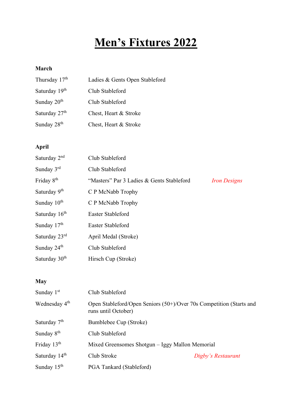# **Men's Fixtures 2022**

#### **March**

| Thursday 17 <sup>th</sup> | Ladies & Gents Open Stableford |
|---------------------------|--------------------------------|
| Saturday 19 <sup>th</sup> | Club Stableford                |
| Sunday $20th$             | Club Stableford                |
| Saturday 27 <sup>th</sup> | Chest, Heart & Stroke          |
| Sunday 28 <sup>th</sup>   | Chest, Heart & Stroke          |

## **April**

| Saturday 2 <sup>nd</sup>  | Club Stableford                           |                     |
|---------------------------|-------------------------------------------|---------------------|
| Sunday $3rd$              | Club Stableford                           |                     |
| Friday 8 <sup>th</sup>    | "Masters" Par 3 Ladies & Gents Stableford | <b>Iron Designs</b> |
| Saturday 9 <sup>th</sup>  | C P McNabb Trophy                         |                     |
| Sunday $10th$             | C P McNabb Trophy                         |                     |
| Saturday 16 <sup>th</sup> | Easter Stableford                         |                     |
| Sunday 17 <sup>th</sup>   | Easter Stableford                         |                     |
| Saturday 23rd             | April Medal (Stroke)                      |                     |
| Sunday 24 <sup>th</sup>   | Club Stableford                           |                     |
| Saturday 30 <sup>th</sup> | Hirsch Cup (Stroke)                       |                     |

#### **May**

| Sunday $1st$              | Club Stableford          |                                                                     |  |  |
|---------------------------|--------------------------|---------------------------------------------------------------------|--|--|
| Wednesday 4 <sup>th</sup> | runs until October)      | Open Stableford/Open Seniors (50+)/Over 70s Competition (Starts and |  |  |
| Saturday 7 <sup>th</sup>  | Bumblebee Cup (Stroke)   |                                                                     |  |  |
| Sunday $8th$              | Club Stableford          |                                                                     |  |  |
| Friday 13 <sup>th</sup>   |                          | Mixed Greensomes Shotgun - Iggy Mallon Memorial                     |  |  |
| Saturday 14 <sup>th</sup> | Club Stroke              | Digby's Restaurant                                                  |  |  |
| Sunday $15th$             | PGA Tankard (Stableford) |                                                                     |  |  |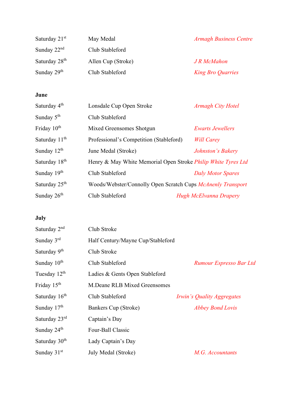| Saturday 21 <sup>st</sup> | May Medal          | <b>Armagh Business Centre</b> |
|---------------------------|--------------------|-------------------------------|
| Sunday $22nd$             | Club Stableford    |                               |
| Saturday 28 <sup>th</sup> | Allen Cup (Stroke) | <b>J</b> R McMahon            |
| Sunday $29th$             | Club Stableford    | <b>King Bro Quarries</b>      |

## **June**

| Saturday 4 <sup>th</sup>  | Lonsdale Cup Open Stroke                                             | <b>Armagh City Hotel</b> |
|---------------------------|----------------------------------------------------------------------|--------------------------|
| Sunday 5 <sup>th</sup>    | Club Stableford                                                      |                          |
| Friday 10 <sup>th</sup>   | Mixed Greensomes Shotgun                                             | <b>Ewarts Jewellers</b>  |
| Saturday 11 <sup>th</sup> | Professional's Competition (Stableford)                              | <b>Will Carey</b>        |
| Sunday $12th$             | June Medal (Stroke)                                                  | Johnston's Bakery        |
| Saturday 18 <sup>th</sup> | Henry & May White Memorial Open Stroke <i>Philip White Tyres Ltd</i> |                          |
| Sunday 19 <sup>th</sup>   | Club Stableford                                                      | <b>Daly Motor Spares</b> |
| Saturday 25 <sup>th</sup> | Woods/Webster/Connolly Open Scratch Cups McAnenly Transport          |                          |
| Sunday $26th$             | Club Stableford                                                      | Hugh McElvanna Drapery   |

# **July**

| Saturday 2 <sup>nd</sup>  | Club Stroke                       |                            |
|---------------------------|-----------------------------------|----------------------------|
| Sunday 3rd                | Half Century/Mayne Cup/Stableford |                            |
| Saturday 9 <sup>th</sup>  | Club Stroke                       |                            |
| Sunday 10 <sup>th</sup>   | Club Stableford                   | Rumour Espresso Bar Ltd    |
| Tuesday 12 <sup>th</sup>  | Ladies & Gents Open Stableford    |                            |
| Friday 15 <sup>th</sup>   | M.Deane RLB Mixed Greensomes      |                            |
| Saturday 16 <sup>th</sup> | Club Stableford                   | Irwin's Quality Aggregates |
| Sunday $17th$             | Bankers Cup (Stroke)              | <b>Abbey Bond Lovis</b>    |
| Saturday 23rd             | Captain's Day                     |                            |
| Sunday 24 <sup>th</sup>   | Four-Ball Classic                 |                            |
| Saturday 30 <sup>th</sup> | Lady Captain's Day                |                            |
| Sunday $31st$             | July Medal (Stroke)               | M.G. Accountants           |